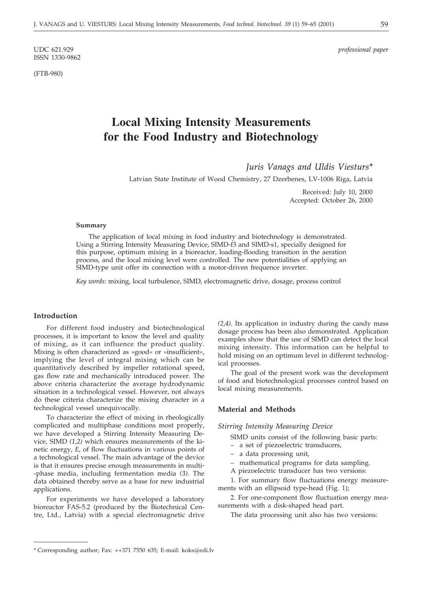ISSN 1330-9862

(FTB-980)

UDC 621.929 *professional paper*

# **Local Mixing Intensity Measurements for the Food Industry and Biotechnology**

*Juris Vanags and Uldis Viesturs\**

Latvian State Institute of Wood Chemistry, 27 Dzerbenes, LV-1006 Riga, Latvia

Received: July 10, 2000 Accepted: October 26, 2000

#### **Summary**

The application of local mixing in food industry and biotechnology is demonstrated. Using a Stirring Intensity Measuring Device, SIMD-f3 and SIMD-s1, specially designed for this purpose, optimum mixing in a bioreactor, loading-flooding transition in the aeration process, and the local mixing level were controlled. The new potentialities of applying an SIMD-type unit offer its connection with a motor-driven frequence inverter.

*Key words:* mixing, local turbulence, SIMD, electromagnetic drive, dosage, process control

## **Introduction**

For different food industry and biotechnological processes, it is important to know the level and quality of mixing, as it can influence the product quality. Mixing is often characterized as »good« or »insufficient«, implying the level of integral mixing which can be quantitatively described by impeller rotational speed, gas flow rate and mechanically introduced power. The above criteria characterize the average hydrodynamic situation in a technological vessel. However, not always do these criteria characterize the mixing character in a technological vessel unequivocally.

To characterize the effect of mixing in rheologically complicated and multiphase conditions most properly, we have developed a Stirring Intensity Measuring Device, SIMD *(1,2)* which ensures measurements of the kinetic energy, *E*, of flow fluctuations in various points of a technological vessel. The main advantage of the device is that it ensures precise enough measurements in multi- -phase media, including fermentation media *(3)*. The data obtained thereby serve as a base for new industrial applications.

For experiments we have developed a laboratory bioreactor FAS-5.2 (produced by the Biotechnical Centre, Ltd., Latvia) with a special electromagnetic drive *(2,4)*. Its application in industry during the candy mass dosage process has been also demonstrated. Application examples show that the use of SIMD can detect the local mixing intensity. This information can be helpful to hold mixing on an optimum level in different technological processes.

The goal of the present work was the development of food and biotechnological processes control based on local mixing measurements.

#### **Material and Methods**

*Stirring Intensity Measuring Device*

SIMD units consist of the following basic parts:

- a set of piezoelectric transducers,
- a data processing unit,
- mathematical programs for data sampling.
- A piezoelectric transducer has two versions:

1. For summary flow fluctuations energy measurements with an ellipsoid type-head (Fig. 1);

2. For one-component flow fluctuation energy measurements with a disk-shaped head part.

The data processing unit also has two versions:

<sup>\*</sup> Corresponding author; Fax: ++371 7550 635; E-mail: koks@edi.lv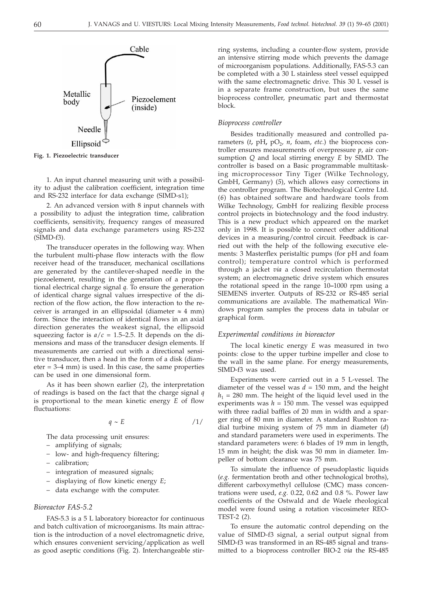Cable Metallic Piezoelement body (inside) Needle Ellipsoid

**Fig. 1. Piezoelectric transducer**

1. An input channel measuring unit with a possibility to adjust the calibration coefficient, integration time and RS-232 interface for data exchange (SIMD-s1);

2. An advanced version with 8 input channels with a possibility to adjust the integration time, calibration coefficients, sensitivity, frequency ranges of measured signals and data exchange parameters using RS-232 (SIMD-f3).

The transducer operates in the following way. When the turbulent multi-phase flow interacts with the flow receiver head of the transducer, mechanical oscillations are generated by the cantilever-shaped needle in the piezoelement, resulting in the generation of a proportional electrical charge signal *q*. To ensure the generation of identical charge signal values irrespective of the direction of the flow action, the flow interaction to the receiver is arranged in an ellipsoidal (diameter  $\approx$  4 mm) form. Since the interaction of identical flows in an axial direction generates the weakest signal, the ellipsoid squeezing factor is  $a/c = 1.5{\text -}2.5$ . It depends on the dimensions and mass of the transducer design elements. If measurements are carried out with a directional sensitive transducer, then a head in the form of a disk (diam $eter = 3-4$  mm) is used. In this case, the same properties can be used in one dimensional form.

As it has been shown earlier (*2*), the interpretation of readings is based on the fact that the charge signal *q* is proportional to the mean kinetic energy *E* of flow fluctuations:

$$
q \sim E \tag{1/}
$$

The data processing unit ensures:

- amplifying of signals;
- low- and high-frequency filtering;
- calibration;
- integration of measured signals;
- ¿ displaying of flow kinetic energy *E*;
- data exchange with the computer.

#### *Bioreactor FAS-5.2*

FAS-5.3 is a 5 L laboratory bioreactor for continuous and batch cultivation of microorganisms. Its main attraction is the introduction of a novel electromagnetic drive, which ensures convenient servicing/application as well as good aseptic conditions (Fig. 2). Interchangeable stirring systems, including a counter-flow system, provide an intensive stirring mode which prevents the damage of microorganism populations. Additionally, FAS-5.3 can be completed with a 30 L stainless steel vessel equipped with the same electromagnetic drive. This 30 L vessel is in a separate frame construction, but uses the same bioprocess controller, pneumatic part and thermostat block.

### *Bioprocess controller*

Besides traditionally measured and controlled parameters  $(t, pH, pO<sub>2</sub>, n, f$ oam, etc.) the bioprocess controller ensures measurements of overpressure *p*, air consumption *Q* and local stirring energy *E* by SIMD. The controller is based on a Basic programmable multitasking microprocessor Tiny Tiger (Wilke Technology, GmbH, Germany) (*5*), which allows easy corrections in the controller program. The Biotechnological Centre Ltd. (*6*) has obtained software and hardware tools from Wilke Technology, GmbH for realizing flexible process control projects in biotechnology and the food industry. This is a new product which appeared on the market only in 1998. It is possible to connect other additional devices in a measuring/control circuit. Feedback is carried out with the help of the following executive elements: 3 Masterflex peristaltic pumps (for pH and foam control); temperature control which is performed through a jacket *via* a closed recirculation thermostat system; an electromagnetic drive system which ensures the rotational speed in the range 10**–**1000 rpm using a SIEMENS inverter. Outputs of RS-232 or RS-485 serial communications are available. The mathematical Windows program samples the process data in tabular or graphical form.

#### *Experimental conditions in bioreactor*

The local kinetic energy *E* was measured in two points: close to the upper turbine impeller and close to the wall in the same plane. For energy measurements, SIMD-f3 was used.

Experiments were carried out in a 5 L-vessel. The diameter of the vessel was  $d = 150$  mm, and the height  $h_1$  = 280 mm. The height of the liquid level used in the experiments was  $h = 150$  mm. The vessel was equipped with three radial baffles of 20 mm in width and a sparger ring of 80 mm in diameter. A standard Rushton radial turbine mixing system of 75 mm in diameter (*d*) and standard parameters were used in experiments. The standard parameters were: 6 blades of 19 mm in length, 15 mm in height; the disk was 50 mm in diameter. Impeller of bottom clearance was 75 mm.

To simulate the influence of pseudoplastic liquids (*e.g.* fermentation broth and other technological broths), different carboxymethyl cellulose (CMC) mass concentrations were used, *e.g.* 0.22, 0.62 and 0.8 %. Power law coefficients of the Ostwald and de Waele rheological model were found using a rotation viscosimeter REO-TEST-2 (*2*).

To ensure the automatic control depending on the value of SIMD-f3 signal, a serial output signal from SIMD-f3 was transformed in an RS-485 signal and transmitted to a bioprocess controller BIO-2 *via* the RS-485

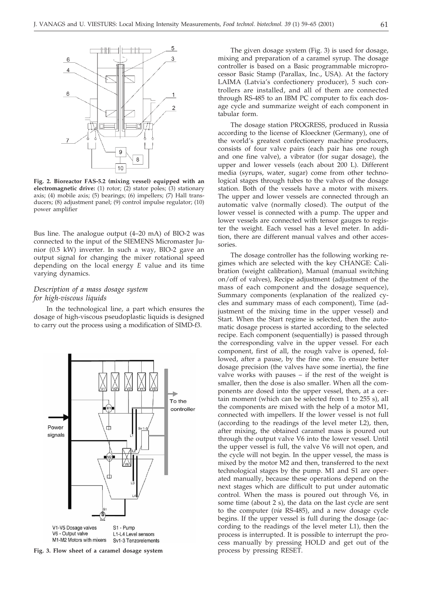

**Fig. 2. Bioreactor FAS-5.2 (mixing vessel) equipped with an electromagnetic drive:** (1) rotor; (2) stator poles; (3) stationary axis; (4) mobile axis; (5) bearings; (6) impellers; (7) Hall transducers; (8) adjustment panel; (9) control impulse regulator; (10) power amplifier

Bus line. The analogue output (4–20 mA) of BIO-2 was connected to the input of the SIEMENS Micromaster Junior (0.5 kW) inverter. In such a way, BIO-2 gave an output signal for changing the mixer rotational speed depending on the local energy *E* value and its time varying dynamics.

## *Description of a mass dosage system for high-viscous liquids*

In the technological line, a part which ensures the dosage of high-viscous pseudoplastic liquids is designed to carry out the process using a modification of SIMD-f3.



**Fig. 3. Flow sheet of a caramel dosage system**

The given dosage system (Fig. 3) is used for dosage, mixing and preparation of a caramel syrup. The dosage controller is based on a Basic programmable microprocessor Basic Stamp (Parallax, Inc., USA). At the factory LAIMA (Latvia's confectionery producer), 5 such controllers are installed, and all of them are connected through RS-485 to an IBM PC computer to fix each dosage cycle and summarize weight of each component in tabular form.

The dosage station PROGRESS, produced in Russia according to the license of Kloeckner (Germany), one of the world's greatest confectionery machine producers, consists of four valve pairs (each pair has one rough and one fine valve), a vibrator (for sugar dosage), the upper and lower vessels (each about 200 L). Different media (syrups, water, sugar) come from other technological stages through tubes to the valves of the dosage station. Both of the vessels have a motor with mixers. The upper and lower vessels are connected through an automatic valve (normally closed). The output of the lower vessel is connected with a pump. The upper and lower vessels are connected with tensor gauges to register the weight. Each vessel has a level meter. In addition, there are different manual valves and other accessories.

The dosage controller has the following working regimes which are selected with the key CHANGE: Calibration (weight calibration), Manual (manual switching on/off of valves), Recipe adjustment (adjustment of the mass of each component and the dosage sequence), Summary components (explanation of the realized cycles and summary mass of each component), Time (adjustment of the mixing time in the upper vessel) and Start. When the Start regime is selected, then the automatic dosage process is started according to the selected recipe. Each component (sequentially) is passed through the corresponding valve in the upper vessel. For each component, first of all, the rough valve is opened, followed, after a pause, by the fine one. To ensure better dosage precision (the valves have some inertia), the fine valve works with pauses – if the rest of the weight is smaller, then the dose is also smaller. When all the components are dosed into the upper vessel, then, at a certain moment (which can be selected from 1 to 255 s), all the components are mixed with the help of a motor M1, connected with impellers. If the lower vessel is not full (according to the readings of the level meter L2), then, after mixing, the obtained caramel mass is poured out through the output valve V6 into the lower vessel. Until the upper vessel is full, the valve V6 will not open, and the cycle will not begin. In the upper vessel, the mass is mixed by the motor M2 and then, transferred to the next technological stages by the pump. M1 and S1 are operated manually, because these operations depend on the next stages which are difficult to put under automatic control. When the mass is poured out through V6, in some time (about 2 s), the data on the last cycle are sent to the computer (*via* RS-485), and a new dosage cycle begins. If the upper vessel is full during the dosage (according to the readings of the level meter L1), then the process is interrupted. It is possible to interrupt the process manually by pressing HOLD and get out of the process by pressing RESET.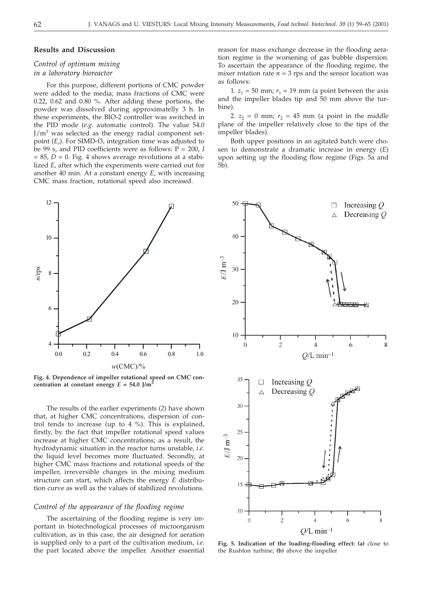#### **Results and Discussion**

## *Control of optimum mixing in a laboratory bioreactor*

For this purpose, different portions of CMC powder were added to the media; mass fractions of CMC were 0.22, 0.62 and 0.80 %. After adding these portions, the powder was dissolved during approximatelly 3 h. In these experiments, the BIO-2 controller was switched in the PID mode (*e.g.* automatic control). The value 54.0  $J/m<sup>3</sup>$  was selected as the energy radial component setpoint (*Er*). For SIMD-f3, integration time was adjusted to be 99 s, and PID coefficients were as follows: P = 200, *I*  $= 85, D = 0$ . Fig. 4 shows average revolutions at a stabilized *E*, after which the experiments were carried out for another 40 min. At a constant energy *E*, with increasing CMC mass fraction, rotational speed also increased.



**Fig. 4. Dependence of impeller rotational speed on CMC concentration at constant energy**  $E = 54.0$  J/m<sup>3</sup>

The results of the earlier experiments (*2*) have shown that, at higher CMC concentrations, dispersion of control tends to increase (up to 4 %). This is explained, firstly, by the fact that impeller rotational speed values increase at higher CMC concentrations; as a result, the hydrodynamic situation in the reactor turns unstable, *i.e*. the liquid level becomes more fluctuated. Secondly, at higher CMC mass fractions and rotational speeds of the impeller, irreversible changes in the mixing medium structure can start, which affects the energy *E* distribution curve as well as the values of stabilized revolutions.

## *Control of the appearance of the flooding regime*

The ascertaining of the flooding regime is very important in biotechnological processes of microorganism cultivation, as in this case, the air designed for aeration is supplied only to a part of the cultivation medium, *i.e*. the part located above the impeller. Another essential reason for mass exchange decrease in the flooding aeration regime is the worsening of gas bubble dispersion. To ascertain the appearance of the flooding regime, the mixer rotation rate  $n = 3$  rps and the sensor location was as follows:

1.  $z_1 = 50$  mm;  $r_1 = 19$  mm (a point between the axis and the impeller blades tip and 50 mm above the turbine).

2.  $z_2 = 0$  mm;  $r_2 = 45$  mm (a point in the middle plane of the impeller relatively close to the tips of the impeller blades).

Both upper positions in an agitated batch were chosen to demonstrate a dramatic increase in energy (*E*) upon setting up the flooding flow regime (Figs. 5a and 5b).



**Fig. 5. Indication of the loading-flooding effect: (a)** close to the Rushton turbine; **(b)** above the impeller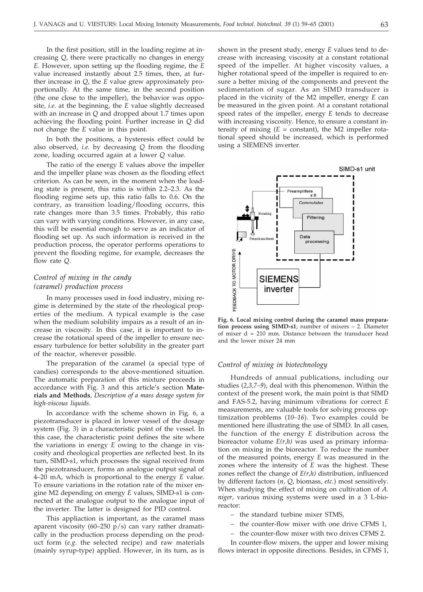In the first position, still in the loading regime at increasing *Q*, there were practically no changes in energy *E*. However, upon setting up the flooding regime, the *E* value increased instantly about 2.5 times, then, at further increase in *Q*, the *E* value grew approximately proportionally. At the same time, in the second position (the one close to the impeller), the behavior was opposite, *i.e*. at the beginning, the *E* value slightly decreased with an increase in *Q* and dropped about 1.7 times upon achieving the flooding point. Further increase in *Q* did not change the *E* value in this point.

In both the positions, a hysteresis effect could be also observed, *i.e.* by decreasing *Q* from the flooding zone, loading occurred again at a lower *Q* value.

The ratio of the energy E values above the impeller and the impeller plane was chosen as the flooding effect criterion. As can be seen, in the moment when the loading state is present, this ratio is within 2.2–2.3. As the flooding regime sets up, this ratio falls to 0.6. On the contrary, as transition loading/flooding occurrs, this rate changes more than 3.5 times. Probably, this ratio can vary with varying conditions. However, in any case, this will be essential enough to serve as an indicator of flooding set up. As such information is received in the production process, the operator performs operations to prevent the flooding regime, for example, decreases the flow rate *Q*.

## *Control of mixing in the candy (caramel) production process*

In many processes used in food industry, mixing regime is determined by the state of the rheological properties of the medium. A typical example is the case when the medium solubility impairs as a result of an increase in viscosity. In this case, it is important to increase the rotational speed of the impeller to ensure necessary turbulence for better solubility in the greater part of the reactor, wherever possible.

The preparation of the caramel (a special type of candies) corresponds to the above-mentioned situation. The automatic preparation of this mixture proceeds in accordance with Fig. 3 and this article's section **Materials and Methods**, *Description of a mass dosage system for high-viscous liquids*.

In accordance with the scheme shown in Fig. 6, a piezotransducer is placed in lower vessel of the dosage system (Fig. 3) in a characteristic point of the vessel. In this case, the characteristic point defines the site where the variations in energy *E* owing to the change in viscosity and rheological properties are reflected best. In its turn, SIMD-s1, which processes the signal received from the piezotransducer, forms an analogue output signal of 4–20 mA, which is proportional to the energy *E* value. To ensure variations in the rotation rate of the mixer engine M2 depending on energy *E* values, SIMD-s1 is connected at the analogue output to the analogue input of the inverter. The latter is designed for PID control.

This appliaction is important, as the caramel mass aparent viscosity (60–250  $p/s$ ) can vary rather dramatically in the production process depending on the product form (*e.g*. the selected recipe) and raw materials (mainly syrup-type) applied. However, in its turn, as is shown in the present study, energy *E* values tend to decrease with increasing viscosity at a constant rotational speed of the impeller. At higher viscosity values, a higher rotational speed of the impeller is required to ensure a better mixing of the components and prevent the sedimentation of sugar. As an SIMD transducer is placed in the vicinity of the M2 impeller, energy *E* can be measured in the given point. At a constant rotational speed rates of the impeller, energy *E* tends to decrease with increasing viscosity. Hence, to ensure a constant intensity of mixing  $(E = constant)$ , the M2 impeller rotational speed should be increased, which is performed using a SIEMENS inverter.



**Fig. 6. Local mixing control during the caramel mass preparation process using SIMD-s1**; number of mixers – 2. Diameter of mixer  $d = 210$  mm. Distance between the transducer head and the lower mixer 24 mm

## *Control of mixing in biotechnology*

Hundreds of annual publications, including our studies (*2,3,7–9*), deal with this phenomenon. Within the context of the present work, the main point is that SIMD and FAS-5.2, having minimum vibrations for correct *E* measurements, are valuable tools for solving process optimization problems (*10–16*). Two examples could be mentioned here illustrating the use of SIMD. In all cases, the function of the energy *E* distribution across the bioreactor volume *E(r,h)* was used as primary information on mixing in the bioreactor. To reduce the number of the measured points, energy *E* was measured in the zones where the intensity of *E* was the highest. These zones reflect the change of *E(r,h)* distribution, influenced by different factors (*n, Q*, biomass, *etc.*) most sensitively. When studying the effect of mixing on cultivation of *A. niger*, various mixing systems were used in a 3 L-bioreactor:

- the standard turbine mixer STMS,
- the counter-flow mixer with one drive CFMS 1,
- the counter-flow mixer with two drives CFMS 2.

In counter-flow mixers, the upper and lower mixing flows interact in opposite directions. Besides, in CFMS 1,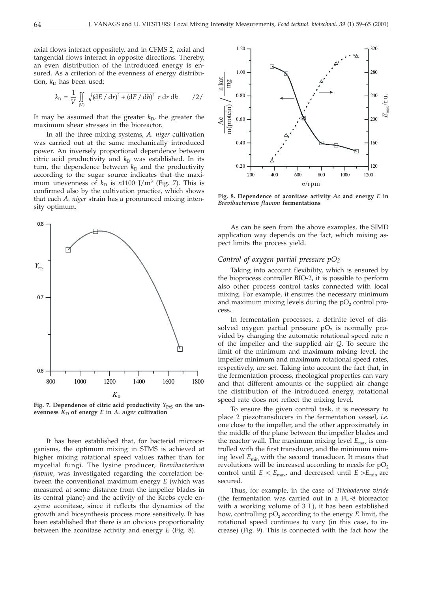axial flows interact oppositely, and in CFMS 2, axial and tangential flows interact in opposite directions. Thereby, an even distribution of the introduced energy is ensured. As a criterion of the evenness of energy distribution,  $k_D$  has been used:

$$
k_{\rm D} = \frac{1}{V} \iint\limits_{(V)} \sqrt{(\text{d}E/\text{d}r)^2 + (\text{d}E/\text{d}h)^2} \ r \, \text{d}r \, \text{d}h \qquad /2 /
$$

It may be assumed that the greater  $k_D$ , the greater the maximum shear stresses in the bioreactor.

In all the three mixing systems, *A. niger* cultivation was carried out at the same mechanically introduced power. An inversely proportional dependence between citric acid productivity and  $k_D$  was established. In its turn, the dependence between  $k_D$  and the productivity according to the sugar source indicates that the maximum unevenness of  $k_D$  is  $\approx 1100$  J/m<sup>3</sup> (Fig. 7). This is confirmed also by the cultivation practice, which shows that each *A*. *niger* strain has a pronounced mixing intensity optimum.



Fig. 7. Dependence of citric acid productivity  $Y_{P/S}$  on the un**evenness**  $K_D$  of energy  $E$  in  $A$ . niger cultivation

It has been established that, for bacterial microorganisms, the optimum mixing in STMS is achieved at higher mixing rotational speed values rather than for mycelial fungi. The lysine producer, *Brevibacterium flavum*, was investigated regarding the correlation between the conventional maximum energy *E* (which was measured at some distance from the impeller blades in its central plane) and the activity of the Krebs cycle enzyme aconitase, since it reflects the dynamics of the growth and biosynthesis process more sensitively. It has been established that there is an obvious proportionality between the aconitase activity and energy *E* (Fig. 8).



**Fig. 8. Dependence of aconitase activity** *Ac* **and energy** *E* **in** *Brevibacterium flavum* **fermentations**

As can be seen from the above examples, the SIMD application way depends on the fact, which mixing aspect limits the process yield.

## *Control of oxygen partial pressure pO2*

Taking into account flexibility, which is ensured by the bioprocess controller BIO-2, it is possible to perform also other process control tasks connected with local mixing. For example, it ensures the necessary minimum and maximum mixing levels during the  $pO<sub>2</sub>$  control process.

In fermentation processes, a definite level of dissolved oxygen partial pressure  $pO<sub>2</sub>$  is normally provided by changing the automatic rotational speed rate *n* of the impeller and the supplied air *Q*. To secure the limit of the minimum and maximum mixing level, the impeller minimum and maximum rotational speed rates, respectively, are set. Taking into account the fact that, in the fermentation process, rheological properties can vary and that different amounts of the supplied air change the distribution of the introduced energy, rotational speed rate does not reflect the mixing level.

To ensure the given control task, it is necessary to place 2 piezotransducers in the fermentation vessel, *i.e*. one close to the impeller, and the other approximately in the middle of the plane between the impeller blades and the reactor wall. The maximum mixing level  $E_{\text{max}}$  is controlled with the first transducer, and the minimum miming level *E*min with the second transducer. It means that revolutions will be increased according to needs for  $pO<sub>2</sub>$ control until  $E < E_{\text{max}}$ , and decreased until  $E > E_{\text{min}}$  are secured.

Thus, for example, in the case of *Trichoderma viride* (the fermentation was carried out in a FU-8 bioreactor with a working volume of 3 L), it has been established how, controlling pO<sub>2</sub> according to the energy *E* limit, the rotational speed continues to vary (in this case, to increase) (Fig. 9). This is connected with the fact how the